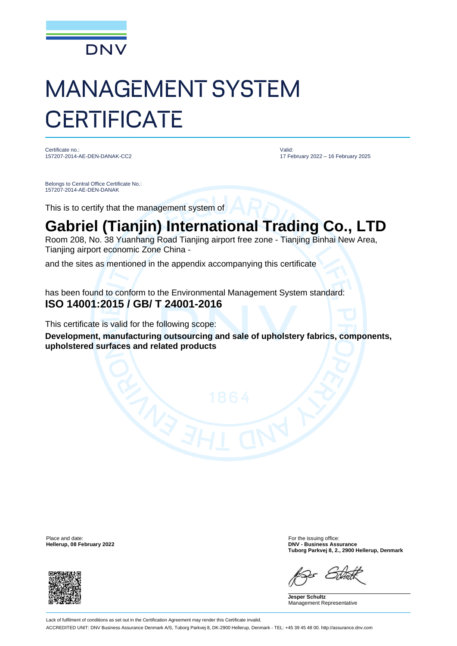

## MANAGEMENT SYSTEM **CERTIFICATE**

Certificate no.: 157207-2014-AE-DEN-DANAK-CC2 Valid: 17 February 2022 – 16 February 2025

Belongs to Central Office Certificate No.: 157207-2014-AE-DEN-DANAK

This is to certify that the management system of

## **Gabriel (Tianjin) International Trading Co., LTD**

Room 208, No. 38 Yuanhang Road Tianjing airport free zone - Tianjing Binhai New Area, Tianjing airport economic Zone China -

and the sites as mentioned in the appendix accompanying this certificate

has been found to conform to the Environmental Management System standard: **ISO 14001:2015 / GB/ T 24001-2016**

This certificate is valid for the following scope:

**Development, manufacturing outsourcing and sale of upholstery fabrics, components, upholstered surfaces and related products**

Place and date: For the issuing office:<br> **Place and date:** For the issuing office:<br> **Phace and date:** For the issuing office:<br> **Phace and date:** For the issuing office:



**Hellerup, 08 February 2022 DNV - Business Assurance Tuborg Parkvej 8, 2., 2900 Hellerup, Denmark**

**Jesper Schultz** Management Representative

Lack of fulfilment of conditions as set out in the Certification Agreement may render this Certificate invalid. ACCREDITED UNIT: DNV Business Assurance Denmark A/S, Tuborg Parkvej 8, DK-2900 Hellerup, Denmark - TEL: +45 39 45 48 00. http://assurance.dnv.com